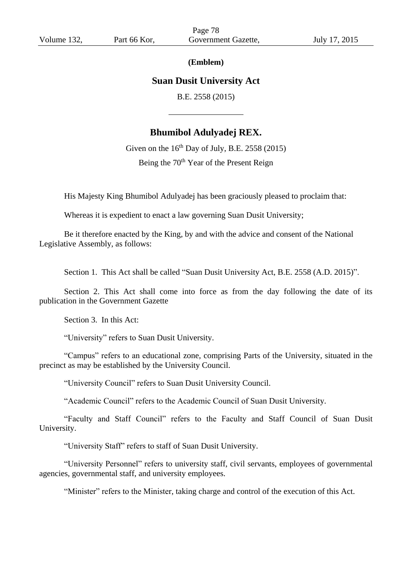#### **(Emblem)**

# **Suan Dusit University Act**

B.E. 2558 (2015)

# **Bhumibol Adulyadej REX.**

Given on the  $16<sup>th</sup>$  Day of July, B.E. 2558 (2015) Being the 70<sup>th</sup> Year of the Present Reign

His Majesty King Bhumibol Adulyadej has been graciously pleased to proclaim that:

Whereas it is expedient to enact a law governing Suan Dusit University;

Be it therefore enacted by the King, by and with the advice and consent of the National Legislative Assembly, as follows:

Section 1. This Act shall be called "Suan Dusit University Act, B.E. 2558 (A.D. 2015)".

Section 2. This Act shall come into force as from the day following the date of its publication in the Government Gazette

Section 3. In this Act:

"University" refers to Suan Dusit University.

"Campus" refers to an educational zone, comprising Parts of the University, situated in the precinct as may be established by the University Council.

"University Council" refers to Suan Dusit University Council.

"Academic Council" refers to the Academic Council of Suan Dusit University.

"Faculty and Staff Council" refers to the Faculty and Staff Council of Suan Dusit University.

"University Staff" refers to staff of Suan Dusit University.

"University Personnel" refers to university staff, civil servants, employees of governmental agencies, governmental staff, and university employees.

"Minister" refers to the Minister, taking charge and control of the execution of this Act.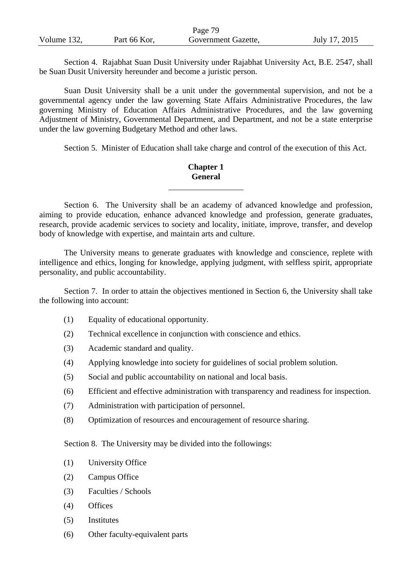|             |              | Page 79             |               |
|-------------|--------------|---------------------|---------------|
| Volume 132, | Part 66 Kor, | Government Gazette, | July 17, 2015 |

Section 4. Rajabhat Suan Dusit University under Rajabhat University Act, B.E. 2547, shall be Suan Dusit University hereunder and become a juristic person.

Suan Dusit University shall be a unit under the governmental supervision, and not be a governmental agency under the law governing State Affairs Administrative Procedures, the law governing Ministry of Education Affairs Administrative Procedures, and the law governing Adjustment of Ministry, Governmental Department, and Department, and not be a state enterprise under the law governing Budgetary Method and other laws.

Section 5. Minister of Education shall take charge and control of the execution of this Act.

## **Chapter 1 General**

Section 6. The University shall be an academy of advanced knowledge and profession, aiming to provide education, enhance advanced knowledge and profession, generate graduates, research, provide academic services to society and locality, initiate, improve, transfer, and develop body of knowledge with expertise, and maintain arts and culture.

The University means to generate graduates with knowledge and conscience, replete with intelligence and ethics, longing for knowledge, applying judgment, with selfless spirit, appropriate personality, and public accountability.

Section 7. In order to attain the objectives mentioned in Section 6, the University shall take the following into account:

- (1) Equality of educational opportunity.
- (2) Technical excellence in conjunction with conscience and ethics.
- (3) Academic standard and quality.
- (4) Applying knowledge into society for guidelines of social problem solution.
- (5) Social and public accountability on national and local basis.
- (6) Efficient and effective administration with transparency and readiness for inspection.
- (7) Administration with participation of personnel.
- (8) Optimization of resources and encouragement of resource sharing.

Section 8. The University may be divided into the followings:

- (1) University Office
- (2) Campus Office
- (3) Faculties / Schools
- (4) Offices
- (5) Institutes
- (6) Other faculty-equivalent parts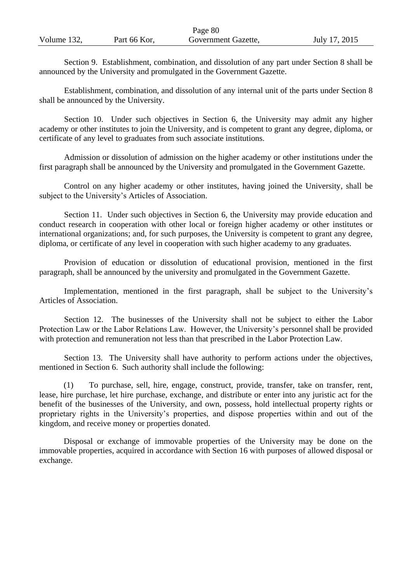|             |              | Page 80             |               |
|-------------|--------------|---------------------|---------------|
| Volume 132, | Part 66 Kor, | Government Gazette, | July 17, 2015 |

Section 9. Establishment, combination, and dissolution of any part under Section 8 shall be announced by the University and promulgated in the Government Gazette.

Establishment, combination, and dissolution of any internal unit of the parts under Section 8 shall be announced by the University.

Section 10. Under such objectives in Section 6, the University may admit any higher academy or other institutes to join the University, and is competent to grant any degree, diploma, or certificate of any level to graduates from such associate institutions.

Admission or dissolution of admission on the higher academy or other institutions under the first paragraph shall be announced by the University and promulgated in the Government Gazette.

Control on any higher academy or other institutes, having joined the University, shall be subject to the University's Articles of Association.

Section 11. Under such objectives in Section 6, the University may provide education and conduct research in cooperation with other local or foreign higher academy or other institutes or international organizations; and, for such purposes, the University is competent to grant any degree, diploma, or certificate of any level in cooperation with such higher academy to any graduates.

Provision of education or dissolution of educational provision, mentioned in the first paragraph, shall be announced by the university and promulgated in the Government Gazette.

Implementation, mentioned in the first paragraph, shall be subject to the University's Articles of Association.

Section 12. The businesses of the University shall not be subject to either the Labor Protection Law or the Labor Relations Law. However, the University's personnel shall be provided with protection and remuneration not less than that prescribed in the Labor Protection Law.

Section 13. The University shall have authority to perform actions under the objectives, mentioned in Section 6. Such authority shall include the following:

(1) To purchase, sell, hire, engage, construct, provide, transfer, take on transfer, rent, lease, hire purchase, let hire purchase, exchange, and distribute or enter into any juristic act for the benefit of the businesses of the University, and own, possess, hold intellectual property rights or proprietary rights in the University's properties, and dispose properties within and out of the kingdom, and receive money or properties donated.

Disposal or exchange of immovable properties of the University may be done on the immovable properties, acquired in accordance with Section 16 with purposes of allowed disposal or exchange.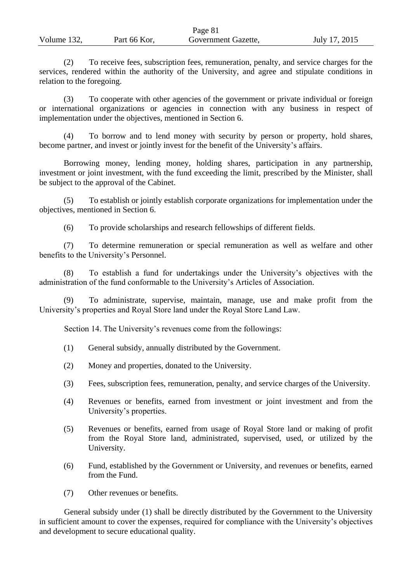|             |              | Page 81             |               |
|-------------|--------------|---------------------|---------------|
| Volume 132, | Part 66 Kor, | Government Gazette, | July 17, 2015 |

(2) To receive fees, subscription fees, remuneration, penalty, and service charges for the services, rendered within the authority of the University, and agree and stipulate conditions in relation to the foregoing.

(3) To cooperate with other agencies of the government or private individual or foreign or international organizations or agencies in connection with any business in respect of implementation under the objectives, mentioned in Section 6.

To borrow and to lend money with security by person or property, hold shares, become partner, and invest or jointly invest for the benefit of the University's affairs.

Borrowing money, lending money, holding shares, participation in any partnership, investment or joint investment, with the fund exceeding the limit, prescribed by the Minister, shall be subject to the approval of the Cabinet.

(5) To establish or jointly establish corporate organizations for implementation under the objectives, mentioned in Section 6.

(6) To provide scholarships and research fellowships of different fields.

(7) To determine remuneration or special remuneration as well as welfare and other benefits to the University's Personnel.

(8) To establish a fund for undertakings under the University's objectives with the administration of the fund conformable to the University's Articles of Association.

(9) To administrate, supervise, maintain, manage, use and make profit from the University's properties and Royal Store land under the Royal Store Land Law.

Section 14. The University's revenues come from the followings:

- (1) General subsidy, annually distributed by the Government.
- (2) Money and properties, donated to the University.
- (3) Fees, subscription fees, remuneration, penalty, and service charges of the University.
- (4) Revenues or benefits, earned from investment or joint investment and from the University's properties.
- (5) Revenues or benefits, earned from usage of Royal Store land or making of profit from the Royal Store land, administrated, supervised, used, or utilized by the University.
- (6) Fund, established by the Government or University, and revenues or benefits, earned from the Fund.
- (7) Other revenues or benefits.

General subsidy under (1) shall be directly distributed by the Government to the University in sufficient amount to cover the expenses, required for compliance with the University's objectives and development to secure educational quality.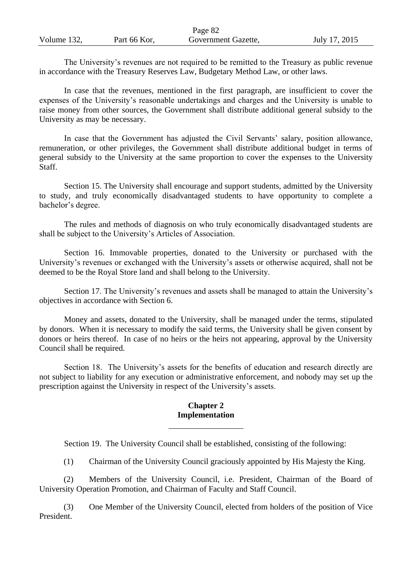|             |              | Page 82             |               |
|-------------|--------------|---------------------|---------------|
| Volume 132, | Part 66 Kor, | Government Gazette, | July 17, 2015 |

The University's revenues are not required to be remitted to the Treasury as public revenue in accordance with the Treasury Reserves Law, Budgetary Method Law, or other laws.

In case that the revenues, mentioned in the first paragraph, are insufficient to cover the expenses of the University's reasonable undertakings and charges and the University is unable to raise money from other sources, the Government shall distribute additional general subsidy to the University as may be necessary.

In case that the Government has adjusted the Civil Servants' salary, position allowance, remuneration, or other privileges, the Government shall distribute additional budget in terms of general subsidy to the University at the same proportion to cover the expenses to the University Staff.

Section 15. The University shall encourage and support students, admitted by the University to study, and truly economically disadvantaged students to have opportunity to complete a bachelor's degree.

The rules and methods of diagnosis on who truly economically disadvantaged students are shall be subject to the University's Articles of Association.

Section 16. Immovable properties, donated to the University or purchased with the University's revenues or exchanged with the University's assets or otherwise acquired, shall not be deemed to be the Royal Store land and shall belong to the University.

Section 17. The University's revenues and assets shall be managed to attain the University's objectives in accordance with Section 6.

Money and assets, donated to the University, shall be managed under the terms, stipulated by donors. When it is necessary to modify the said terms, the University shall be given consent by donors or heirs thereof. In case of no heirs or the heirs not appearing, approval by the University Council shall be required.

Section 18. The University's assets for the benefits of education and research directly are not subject to liability for any execution or administrative enforcement, and nobody may set up the prescription against the University in respect of the University's assets.

#### **Chapter 2 Implementation**

Section 19. The University Council shall be established, consisting of the following:

(1) Chairman of the University Council graciously appointed by His Majesty the King.

(2) Members of the University Council, i.e. President, Chairman of the Board of University Operation Promotion, and Chairman of Faculty and Staff Council.

(3) One Member of the University Council, elected from holders of the position of Vice President.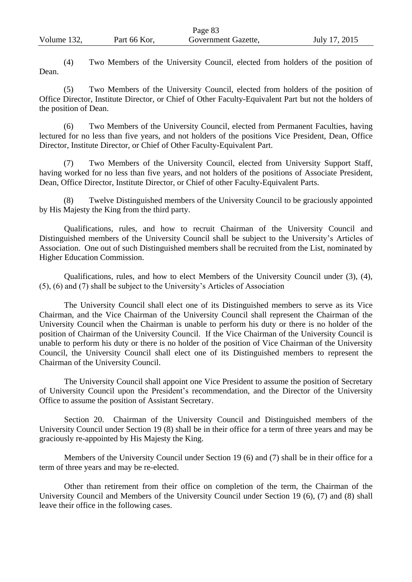(4) Two Members of the University Council, elected from holders of the position of Dean.

(5) Two Members of the University Council, elected from holders of the position of Office Director, Institute Director, or Chief of Other Faculty-Equivalent Part but not the holders of the position of Dean.

(6) Two Members of the University Council, elected from Permanent Faculties, having lectured for no less than five years, and not holders of the positions Vice President, Dean, Office Director, Institute Director, or Chief of Other Faculty-Equivalent Part.

(7) Two Members of the University Council, elected from University Support Staff, having worked for no less than five years, and not holders of the positions of Associate President, Dean, Office Director, Institute Director, or Chief of other Faculty-Equivalent Parts.

(8) Twelve Distinguished members of the University Council to be graciously appointed by His Majesty the King from the third party.

Qualifications, rules, and how to recruit Chairman of the University Council and Distinguished members of the University Council shall be subject to the University's Articles of Association. One out of such Distinguished members shall be recruited from the List, nominated by Higher Education Commission.

Qualifications, rules, and how to elect Members of the University Council under (3), (4), (5), (6) and (7) shall be subject to the University's Articles of Association

The University Council shall elect one of its Distinguished members to serve as its Vice Chairman, and the Vice Chairman of the University Council shall represent the Chairman of the University Council when the Chairman is unable to perform his duty or there is no holder of the position of Chairman of the University Council. If the Vice Chairman of the University Council is unable to perform his duty or there is no holder of the position of Vice Chairman of the University Council, the University Council shall elect one of its Distinguished members to represent the Chairman of the University Council.

The University Council shall appoint one Vice President to assume the position of Secretary of University Council upon the President's recommendation, and the Director of the University Office to assume the position of Assistant Secretary.

Section 20. Chairman of the University Council and Distinguished members of the University Council under Section 19 (8) shall be in their office for a term of three years and may be graciously re-appointed by His Majesty the King.

Members of the University Council under Section 19 (6) and (7) shall be in their office for a term of three years and may be re-elected.

Other than retirement from their office on completion of the term, the Chairman of the University Council and Members of the University Council under Section 19 (6), (7) and (8) shall leave their office in the following cases.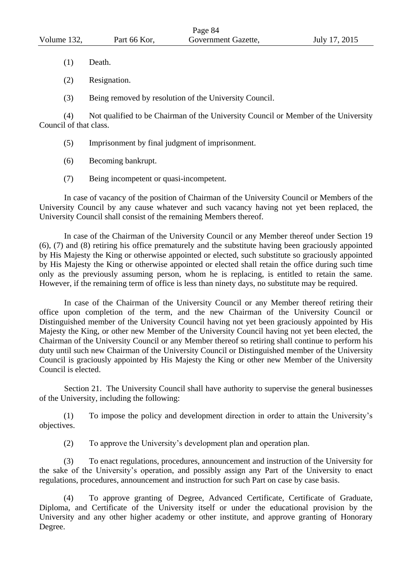- (1) Death.
- (2) Resignation.
- (3) Being removed by resolution of the University Council.

(4) Not qualified to be Chairman of the University Council or Member of the University Council of that class.

- (5) Imprisonment by final judgment of imprisonment.
- (6) Becoming bankrupt.
- (7) Being incompetent or quasi-incompetent.

In case of vacancy of the position of Chairman of the University Council or Members of the University Council by any cause whatever and such vacancy having not yet been replaced, the University Council shall consist of the remaining Members thereof.

In case of the Chairman of the University Council or any Member thereof under Section 19 (6), (7) and (8) retiring his office prematurely and the substitute having been graciously appointed by His Majesty the King or otherwise appointed or elected, such substitute so graciously appointed by His Majesty the King or otherwise appointed or elected shall retain the office during such time only as the previously assuming person, whom he is replacing, is entitled to retain the same. However, if the remaining term of office is less than ninety days, no substitute may be required.

In case of the Chairman of the University Council or any Member thereof retiring their office upon completion of the term, and the new Chairman of the University Council or Distinguished member of the University Council having not yet been graciously appointed by His Majesty the King, or other new Member of the University Council having not yet been elected, the Chairman of the University Council or any Member thereof so retiring shall continue to perform his duty until such new Chairman of the University Council or Distinguished member of the University Council is graciously appointed by His Majesty the King or other new Member of the University Council is elected.

Section 21. The University Council shall have authority to supervise the general businesses of the University, including the following:

(1) To impose the policy and development direction in order to attain the University's objectives.

(2) To approve the University's development plan and operation plan.

(3) To enact regulations, procedures, announcement and instruction of the University for the sake of the University's operation, and possibly assign any Part of the University to enact regulations, procedures, announcement and instruction for such Part on case by case basis.

(4) To approve granting of Degree, Advanced Certificate, Certificate of Graduate, Diploma, and Certificate of the University itself or under the educational provision by the University and any other higher academy or other institute, and approve granting of Honorary Degree.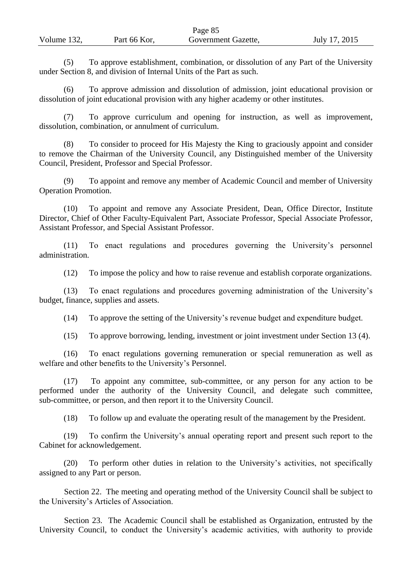|             |              | Page 85             |               |
|-------------|--------------|---------------------|---------------|
| Volume 132, | Part 66 Kor, | Government Gazette, | July 17, 2015 |

(5) To approve establishment, combination, or dissolution of any Part of the University under Section 8, and division of Internal Units of the Part as such.

To approve admission and dissolution of admission, joint educational provision or dissolution of joint educational provision with any higher academy or other institutes.

(7) To approve curriculum and opening for instruction, as well as improvement, dissolution, combination, or annulment of curriculum.

(8) To consider to proceed for His Majesty the King to graciously appoint and consider to remove the Chairman of the University Council, any Distinguished member of the University Council, President, Professor and Special Professor.

(9) To appoint and remove any member of Academic Council and member of University Operation Promotion.

(10) To appoint and remove any Associate President, Dean, Office Director, Institute Director, Chief of Other Faculty-Equivalent Part, Associate Professor, Special Associate Professor, Assistant Professor, and Special Assistant Professor.

(11) To enact regulations and procedures governing the University's personnel administration.

(12) To impose the policy and how to raise revenue and establish corporate organizations.

(13) To enact regulations and procedures governing administration of the University's budget, finance, supplies and assets.

(14) To approve the setting of the University's revenue budget and expenditure budget.

(15) To approve borrowing, lending, investment or joint investment under Section 13 (4).

(16) To enact regulations governing remuneration or special remuneration as well as welfare and other benefits to the University's Personnel.

(17) To appoint any committee, sub-committee, or any person for any action to be performed under the authority of the University Council, and delegate such committee, sub-committee, or person, and then report it to the University Council.

(18) To follow up and evaluate the operating result of the management by the President.

(19) To confirm the University's annual operating report and present such report to the Cabinet for acknowledgement.

(20) To perform other duties in relation to the University's activities, not specifically assigned to any Part or person.

Section 22. The meeting and operating method of the University Council shall be subject to the University's Articles of Association.

Section 23. The Academic Council shall be established as Organization, entrusted by the University Council, to conduct the University's academic activities, with authority to provide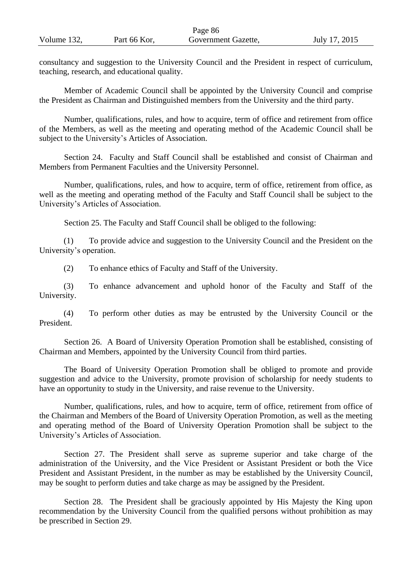|             |              | $1 \mu$ $\sim$ 00   |               |
|-------------|--------------|---------------------|---------------|
| Volume 132. | Part 66 Kor, | Government Gazette, | July 17, 2015 |

Page 86

consultancy and suggestion to the University Council and the President in respect of curriculum, teaching, research, and educational quality.

Member of Academic Council shall be appointed by the University Council and comprise the President as Chairman and Distinguished members from the University and the third party.

Number, qualifications, rules, and how to acquire, term of office and retirement from office of the Members, as well as the meeting and operating method of the Academic Council shall be subject to the University's Articles of Association.

Section 24. Faculty and Staff Council shall be established and consist of Chairman and Members from Permanent Faculties and the University Personnel.

Number, qualifications, rules, and how to acquire, term of office, retirement from office, as well as the meeting and operating method of the Faculty and Staff Council shall be subject to the University's Articles of Association.

Section 25. The Faculty and Staff Council shall be obliged to the following:

(1) To provide advice and suggestion to the University Council and the President on the University's operation.

(2) To enhance ethics of Faculty and Staff of the University.

(3) To enhance advancement and uphold honor of the Faculty and Staff of the University.

(4) To perform other duties as may be entrusted by the University Council or the President.

Section 26. A Board of University Operation Promotion shall be established, consisting of Chairman and Members, appointed by the University Council from third parties.

The Board of University Operation Promotion shall be obliged to promote and provide suggestion and advice to the University, promote provision of scholarship for needy students to have an opportunity to study in the University, and raise revenue to the University.

Number, qualifications, rules, and how to acquire, term of office, retirement from office of the Chairman and Members of the Board of University Operation Promotion, as well as the meeting and operating method of the Board of University Operation Promotion shall be subject to the University's Articles of Association.

Section 27. The President shall serve as supreme superior and take charge of the administration of the University, and the Vice President or Assistant President or both the Vice President and Assistant President, in the number as may be established by the University Council, may be sought to perform duties and take charge as may be assigned by the President.

Section 28. The President shall be graciously appointed by His Majesty the King upon recommendation by the University Council from the qualified persons without prohibition as may be prescribed in Section 29.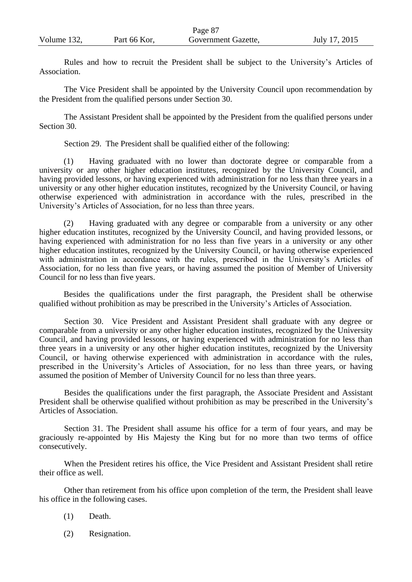| Volume 132, | Part 66 Kor, | Government Gazette, | July 17, 2015 |
|-------------|--------------|---------------------|---------------|

Rules and how to recruit the President shall be subject to the University's Articles of Association.

Page 87

The Vice President shall be appointed by the University Council upon recommendation by the President from the qualified persons under Section 30.

The Assistant President shall be appointed by the President from the qualified persons under Section 30.

Section 29. The President shall be qualified either of the following:

(1) Having graduated with no lower than doctorate degree or comparable from a university or any other higher education institutes, recognized by the University Council, and having provided lessons, or having experienced with administration for no less than three years in a university or any other higher education institutes, recognized by the University Council, or having otherwise experienced with administration in accordance with the rules, prescribed in the University's Articles of Association, for no less than three years.

(2) Having graduated with any degree or comparable from a university or any other higher education institutes, recognized by the University Council, and having provided lessons, or having experienced with administration for no less than five years in a university or any other higher education institutes, recognized by the University Council, or having otherwise experienced with administration in accordance with the rules, prescribed in the University's Articles of Association, for no less than five years, or having assumed the position of Member of University Council for no less than five years.

Besides the qualifications under the first paragraph, the President shall be otherwise qualified without prohibition as may be prescribed in the University's Articles of Association.

Section 30. Vice President and Assistant President shall graduate with any degree or comparable from a university or any other higher education institutes, recognized by the University Council, and having provided lessons, or having experienced with administration for no less than three years in a university or any other higher education institutes, recognized by the University Council, or having otherwise experienced with administration in accordance with the rules, prescribed in the University's Articles of Association, for no less than three years, or having assumed the position of Member of University Council for no less than three years.

Besides the qualifications under the first paragraph, the Associate President and Assistant President shall be otherwise qualified without prohibition as may be prescribed in the University's Articles of Association.

Section 31. The President shall assume his office for a term of four years, and may be graciously re-appointed by His Majesty the King but for no more than two terms of office consecutively.

When the President retires his office, the Vice President and Assistant President shall retire their office as well.

Other than retirement from his office upon completion of the term, the President shall leave his office in the following cases.

- (1) Death.
- (2) Resignation.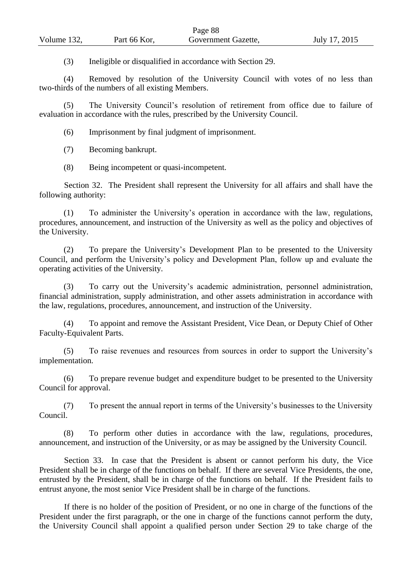|             |              | $\frac{1}{2}$ use of |               |
|-------------|--------------|----------------------|---------------|
| Volume 132, | Part 66 Kor, | Government Gazette,  | July 17, 2015 |
|             |              |                      |               |

 $D_{\Omega$ ge 88

(3) Ineligible or disqualified in accordance with Section 29.

(4) Removed by resolution of the University Council with votes of no less than two-thirds of the numbers of all existing Members.

(5) The University Council's resolution of retirement from office due to failure of evaluation in accordance with the rules, prescribed by the University Council.

(6) Imprisonment by final judgment of imprisonment.

(7) Becoming bankrupt.

(8) Being incompetent or quasi-incompetent.

Section 32. The President shall represent the University for all affairs and shall have the following authority:

(1) To administer the University's operation in accordance with the law, regulations, procedures, announcement, and instruction of the University as well as the policy and objectives of the University.

(2) To prepare the University's Development Plan to be presented to the University Council, and perform the University's policy and Development Plan, follow up and evaluate the operating activities of the University.

(3) To carry out the University's academic administration, personnel administration, financial administration, supply administration, and other assets administration in accordance with the law, regulations, procedures, announcement, and instruction of the University.

(4) To appoint and remove the Assistant President, Vice Dean, or Deputy Chief of Other Faculty-Equivalent Parts.

(5) To raise revenues and resources from sources in order to support the University's implementation.

(6) To prepare revenue budget and expenditure budget to be presented to the University Council for approval.

(7) To present the annual report in terms of the University's businesses to the University Council.

(8) To perform other duties in accordance with the law, regulations, procedures, announcement, and instruction of the University, or as may be assigned by the University Council.

Section 33. In case that the President is absent or cannot perform his duty, the Vice President shall be in charge of the functions on behalf. If there are several Vice Presidents, the one, entrusted by the President, shall be in charge of the functions on behalf. If the President fails to entrust anyone, the most senior Vice President shall be in charge of the functions.

If there is no holder of the position of President, or no one in charge of the functions of the President under the first paragraph, or the one in charge of the functions cannot perform the duty, the University Council shall appoint a qualified person under Section 29 to take charge of the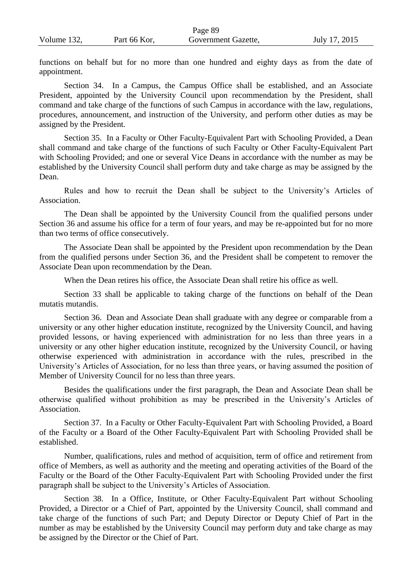| Volume 132, | Part 66 Kor, | Government Gazette, | July 17, 2015 |
|-------------|--------------|---------------------|---------------|
|             |              |                     |               |

functions on behalf but for no more than one hundred and eighty days as from the date of appointment.

Page 89

Section 34. In a Campus, the Campus Office shall be established, and an Associate President, appointed by the University Council upon recommendation by the President, shall command and take charge of the functions of such Campus in accordance with the law, regulations, procedures, announcement, and instruction of the University, and perform other duties as may be assigned by the President.

Section 35. In a Faculty or Other Faculty-Equivalent Part with Schooling Provided, a Dean shall command and take charge of the functions of such Faculty or Other Faculty-Equivalent Part with Schooling Provided; and one or several Vice Deans in accordance with the number as may be established by the University Council shall perform duty and take charge as may be assigned by the Dean.

Rules and how to recruit the Dean shall be subject to the University's Articles of Association.

The Dean shall be appointed by the University Council from the qualified persons under Section 36 and assume his office for a term of four years, and may be re-appointed but for no more than two terms of office consecutively.

The Associate Dean shall be appointed by the President upon recommendation by the Dean from the qualified persons under Section 36, and the President shall be competent to remover the Associate Dean upon recommendation by the Dean.

When the Dean retires his office, the Associate Dean shall retire his office as well.

Section 33 shall be applicable to taking charge of the functions on behalf of the Dean mutatis mutandis.

Section 36. Dean and Associate Dean shall graduate with any degree or comparable from a university or any other higher education institute, recognized by the University Council, and having provided lessons, or having experienced with administration for no less than three years in a university or any other higher education institute, recognized by the University Council, or having otherwise experienced with administration in accordance with the rules, prescribed in the University's Articles of Association, for no less than three years, or having assumed the position of Member of University Council for no less than three years.

Besides the qualifications under the first paragraph, the Dean and Associate Dean shall be otherwise qualified without prohibition as may be prescribed in the University's Articles of Association.

Section 37. In a Faculty or Other Faculty-Equivalent Part with Schooling Provided, a Board of the Faculty or a Board of the Other Faculty-Equivalent Part with Schooling Provided shall be established.

Number, qualifications, rules and method of acquisition, term of office and retirement from office of Members, as well as authority and the meeting and operating activities of the Board of the Faculty or the Board of the Other Faculty-Equivalent Part with Schooling Provided under the first paragraph shall be subject to the University's Articles of Association.

Section 38. In a Office, Institute, or Other Faculty-Equivalent Part without Schooling Provided, a Director or a Chief of Part, appointed by the University Council, shall command and take charge of the functions of such Part; and Deputy Director or Deputy Chief of Part in the number as may be established by the University Council may perform duty and take charge as may be assigned by the Director or the Chief of Part.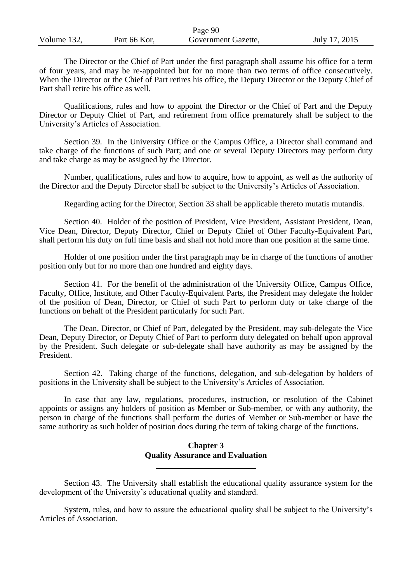|             |              | Page 90             |               |
|-------------|--------------|---------------------|---------------|
| Volume 132, | Part 66 Kor, | Government Gazette, | July 17, 2015 |

The Director or the Chief of Part under the first paragraph shall assume his office for a term of four years, and may be re-appointed but for no more than two terms of office consecutively. When the Director or the Chief of Part retires his office, the Deputy Director or the Deputy Chief of Part shall retire his office as well.

Qualifications, rules and how to appoint the Director or the Chief of Part and the Deputy Director or Deputy Chief of Part, and retirement from office prematurely shall be subject to the University's Articles of Association.

Section 39. In the University Office or the Campus Office, a Director shall command and take charge of the functions of such Part; and one or several Deputy Directors may perform duty and take charge as may be assigned by the Director.

Number, qualifications, rules and how to acquire, how to appoint, as well as the authority of the Director and the Deputy Director shall be subject to the University's Articles of Association.

Regarding acting for the Director, Section 33 shall be applicable thereto mutatis mutandis.

Section 40. Holder of the position of President, Vice President, Assistant President, Dean, Vice Dean, Director, Deputy Director, Chief or Deputy Chief of Other Faculty-Equivalent Part, shall perform his duty on full time basis and shall not hold more than one position at the same time.

Holder of one position under the first paragraph may be in charge of the functions of another position only but for no more than one hundred and eighty days.

Section 41. For the benefit of the administration of the University Office, Campus Office, Faculty, Office, Institute, and Other Faculty-Equivalent Parts, the President may delegate the holder of the position of Dean, Director, or Chief of such Part to perform duty or take charge of the functions on behalf of the President particularly for such Part.

The Dean, Director, or Chief of Part, delegated by the President, may sub-delegate the Vice Dean, Deputy Director, or Deputy Chief of Part to perform duty delegated on behalf upon approval by the President. Such delegate or sub-delegate shall have authority as may be assigned by the President.

Section 42. Taking charge of the functions, delegation, and sub-delegation by holders of positions in the University shall be subject to the University's Articles of Association.

 In case that any law, regulations, procedures, instruction, or resolution of the Cabinet appoints or assigns any holders of position as Member or Sub-member, or with any authority, the person in charge of the functions shall perform the duties of Member or Sub-member or have the same authority as such holder of position does during the term of taking charge of the functions.

#### **Chapter 3 Quality Assurance and Evaluation**

Section 43. The University shall establish the educational quality assurance system for the development of the University's educational quality and standard.

System, rules, and how to assure the educational quality shall be subject to the University's Articles of Association.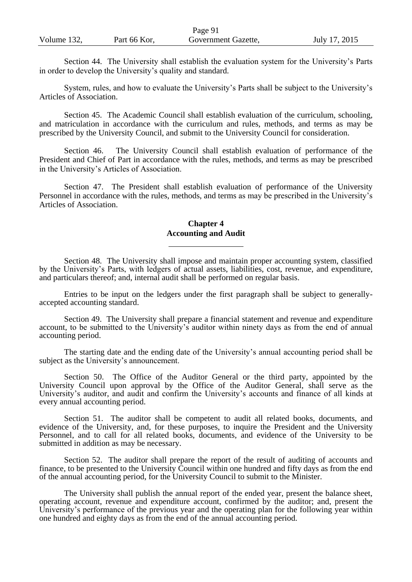|             |              | Page 91             |               |
|-------------|--------------|---------------------|---------------|
| Volume 132, | Part 66 Kor, | Government Gazette, | July 17, 2015 |

Section 44. The University shall establish the evaluation system for the University's Parts in order to develop the University's quality and standard.

System, rules, and how to evaluate the University's Parts shall be subject to the University's Articles of Association.

Section 45. The Academic Council shall establish evaluation of the curriculum, schooling, and matriculation in accordance with the curriculum and rules, methods, and terms as may be prescribed by the University Council, and submit to the University Council for consideration.

Section 46. The University Council shall establish evaluation of performance of the President and Chief of Part in accordance with the rules, methods, and terms as may be prescribed in the University's Articles of Association.

Section 47. The President shall establish evaluation of performance of the University Personnel in accordance with the rules, methods, and terms as may be prescribed in the University's Articles of Association.

## **Chapter 4 Accounting and Audit**

Section 48. The University shall impose and maintain proper accounting system, classified by the University's Parts, with ledgers of actual assets, liabilities, cost, revenue, and expenditure, and particulars thereof; and, internal audit shall be performed on regular basis.

Entries to be input on the ledgers under the first paragraph shall be subject to generallyaccepted accounting standard.

Section 49. The University shall prepare a financial statement and revenue and expenditure account, to be submitted to the University's auditor within ninety days as from the end of annual accounting period.

The starting date and the ending date of the University's annual accounting period shall be subject as the University's announcement.

Section 50. The Office of the Auditor General or the third party, appointed by the University Council upon approval by the Office of the Auditor General, shall serve as the University's auditor, and audit and confirm the University's accounts and finance of all kinds at every annual accounting period.

Section 51. The auditor shall be competent to audit all related books, documents, and evidence of the University, and, for these purposes, to inquire the President and the University Personnel, and to call for all related books, documents, and evidence of the University to be submitted in addition as may be necessary.

Section 52. The auditor shall prepare the report of the result of auditing of accounts and finance, to be presented to the University Council within one hundred and fifty days as from the end of the annual accounting period, for the University Council to submit to the Minister.

The University shall publish the annual report of the ended year, present the balance sheet, operating account, revenue and expenditure account, confirmed by the auditor; and, present the University's performance of the previous year and the operating plan for the following year within one hundred and eighty days as from the end of the annual accounting period.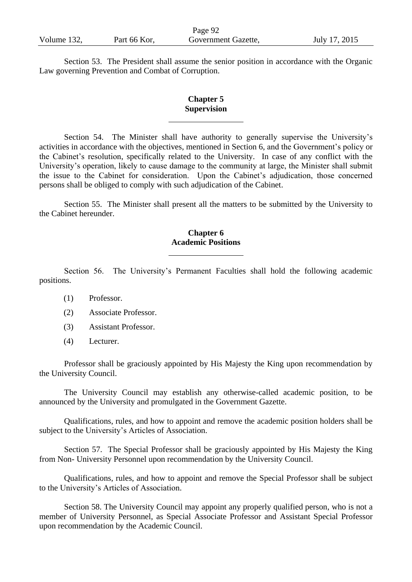|             |              | Page 92             |               |
|-------------|--------------|---------------------|---------------|
| Volume 132, | Part 66 Kor, | Government Gazette, | July 17, 2015 |

Section 53. The President shall assume the senior position in accordance with the Organic Law governing Prevention and Combat of Corruption.

#### **Chapter 5 Supervision**

Section 54. The Minister shall have authority to generally supervise the University's activities in accordance with the objectives, mentioned in Section 6, and the Government's policy or the Cabinet's resolution, specifically related to the University. In case of any conflict with the University's operation, likely to cause damage to the community at large, the Minister shall submit the issue to the Cabinet for consideration. Upon the Cabinet's adjudication, those concerned persons shall be obliged to comply with such adjudication of the Cabinet.

Section 55. The Minister shall present all the matters to be submitted by the University to the Cabinet hereunder.

## **Chapter 6 Academic Positions**

Section 56. The University's Permanent Faculties shall hold the following academic positions.

- (1) Professor.
- (2) Associate Professor.
- (3) Assistant Professor.
- (4) Lecturer.

Professor shall be graciously appointed by His Majesty the King upon recommendation by the University Council.

The University Council may establish any otherwise-called academic position, to be announced by the University and promulgated in the Government Gazette.

Qualifications, rules, and how to appoint and remove the academic position holders shall be subject to the University's Articles of Association.

Section 57. The Special Professor shall be graciously appointed by His Majesty the King from Non- University Personnel upon recommendation by the University Council.

Qualifications, rules, and how to appoint and remove the Special Professor shall be subject to the University's Articles of Association.

Section 58. The University Council may appoint any properly qualified person, who is not a member of University Personnel, as Special Associate Professor and Assistant Special Professor upon recommendation by the Academic Council.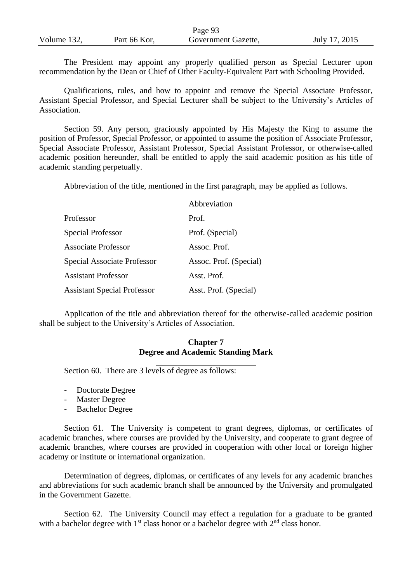|             |              | Page 93             |               |
|-------------|--------------|---------------------|---------------|
| Volume 132, | Part 66 Kor, | Government Gazette, | July 17, 2015 |

The President may appoint any properly qualified person as Special Lecturer upon recommendation by the Dean or Chief of Other Faculty-Equivalent Part with Schooling Provided.

Qualifications, rules, and how to appoint and remove the Special Associate Professor, Assistant Special Professor, and Special Lecturer shall be subject to the University's Articles of Association.

Section 59. Any person, graciously appointed by His Majesty the King to assume the position of Professor, Special Professor, or appointed to assume the position of Associate Professor, Special Associate Professor, Assistant Professor, Special Assistant Professor, or otherwise-called academic position hereunder, shall be entitled to apply the said academic position as his title of academic standing perpetually.

Abbreviation of the title, mentioned in the first paragraph, may be applied as follows.

|                                    | Abbreviation           |
|------------------------------------|------------------------|
| Professor                          | Prof.                  |
| <b>Special Professor</b>           | Prof. (Special)        |
| <b>Associate Professor</b>         | Assoc. Prof.           |
| <b>Special Associate Professor</b> | Assoc. Prof. (Special) |
| <b>Assistant Professor</b>         | Asst. Prof.            |
| <b>Assistant Special Professor</b> | Asst. Prof. (Special)  |

Application of the title and abbreviation thereof for the otherwise-called academic position shall be subject to the University's Articles of Association.

## **Chapter 7 Degree and Academic Standing Mark**

Section 60. There are 3 levels of degree as follows:

- Doctorate Degree
- Master Degree
- Bachelor Degree

Section 61. The University is competent to grant degrees, diplomas, or certificates of academic branches, where courses are provided by the University, and cooperate to grant degree of academic branches, where courses are provided in cooperation with other local or foreign higher academy or institute or international organization.

Determination of degrees, diplomas, or certificates of any levels for any academic branches and abbreviations for such academic branch shall be announced by the University and promulgated in the Government Gazette.

Section 62. The University Council may effect a regulation for a graduate to be granted with a bachelor degree with  $1<sup>st</sup>$  class honor or a bachelor degree with  $2<sup>nd</sup>$  class honor.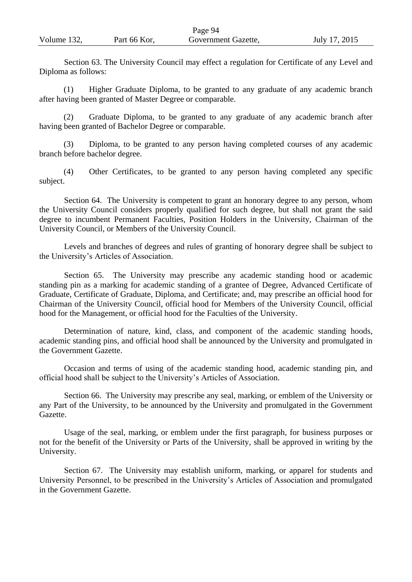|             |              | Page 94             |               |
|-------------|--------------|---------------------|---------------|
| Volume 132, | Part 66 Kor, | Government Gazette, | July 17, 2015 |

Section 63. The University Council may effect a regulation for Certificate of any Level and Diploma as follows:

(1) Higher Graduate Diploma, to be granted to any graduate of any academic branch after having been granted of Master Degree or comparable.

(2) Graduate Diploma, to be granted to any graduate of any academic branch after having been granted of Bachelor Degree or comparable.

(3) Diploma, to be granted to any person having completed courses of any academic branch before bachelor degree.

(4) Other Certificates, to be granted to any person having completed any specific subject.

Section 64. The University is competent to grant an honorary degree to any person, whom the University Council considers properly qualified for such degree, but shall not grant the said degree to incumbent Permanent Faculties, Position Holders in the University, Chairman of the University Council, or Members of the University Council.

Levels and branches of degrees and rules of granting of honorary degree shall be subject to the University's Articles of Association.

Section 65. The University may prescribe any academic standing hood or academic standing pin as a marking for academic standing of a grantee of Degree, Advanced Certificate of Graduate, Certificate of Graduate, Diploma, and Certificate; and, may prescribe an official hood for Chairman of the University Council, official hood for Members of the University Council, official hood for the Management, or official hood for the Faculties of the University.

Determination of nature, kind, class, and component of the academic standing hoods, academic standing pins, and official hood shall be announced by the University and promulgated in the Government Gazette.

Occasion and terms of using of the academic standing hood, academic standing pin, and official hood shall be subject to the University's Articles of Association.

Section 66. The University may prescribe any seal, marking, or emblem of the University or any Part of the University, to be announced by the University and promulgated in the Government Gazette.

Usage of the seal, marking, or emblem under the first paragraph, for business purposes or not for the benefit of the University or Parts of the University, shall be approved in writing by the University.

Section 67. The University may establish uniform, marking, or apparel for students and University Personnel, to be prescribed in the University's Articles of Association and promulgated in the Government Gazette.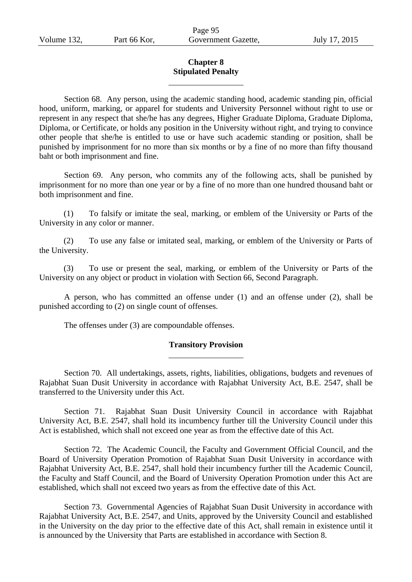## **Chapter 8 Stipulated Penalty**

Section 68. Any person, using the academic standing hood, academic standing pin, official hood, uniform, marking, or apparel for students and University Personnel without right to use or represent in any respect that she/he has any degrees, Higher Graduate Diploma, Graduate Diploma, Diploma, or Certificate, or holds any position in the University without right, and trying to convince other people that she/he is entitled to use or have such academic standing or position, shall be punished by imprisonment for no more than six months or by a fine of no more than fifty thousand baht or both imprisonment and fine.

Section 69. Any person, who commits any of the following acts, shall be punished by imprisonment for no more than one year or by a fine of no more than one hundred thousand baht or both imprisonment and fine.

(1) To falsify or imitate the seal, marking, or emblem of the University or Parts of the University in any color or manner.

(2) To use any false or imitated seal, marking, or emblem of the University or Parts of the University.

(3) To use or present the seal, marking, or emblem of the University or Parts of the University on any object or product in violation with Section 66, Second Paragraph.

A person, who has committed an offense under (1) and an offense under (2), shall be punished according to (2) on single count of offenses.

The offenses under (3) are compoundable offenses.

## **Transitory Provision**

Section 70. All undertakings, assets, rights, liabilities, obligations, budgets and revenues of Rajabhat Suan Dusit University in accordance with Rajabhat University Act, B.E. 2547, shall be transferred to the University under this Act.

Section 71. Rajabhat Suan Dusit University Council in accordance with Rajabhat University Act, B.E. 2547, shall hold its incumbency further till the University Council under this Act is established, which shall not exceed one year as from the effective date of this Act.

Section 72. The Academic Council, the Faculty and Government Official Council, and the Board of University Operation Promotion of Rajabhat Suan Dusit University in accordance with Rajabhat University Act, B.E. 2547, shall hold their incumbency further till the Academic Council, the Faculty and Staff Council, and the Board of University Operation Promotion under this Act are established, which shall not exceed two years as from the effective date of this Act.

Section 73. Governmental Agencies of Rajabhat Suan Dusit University in accordance with Rajabhat University Act, B.E. 2547, and Units, approved by the University Council and established in the University on the day prior to the effective date of this Act, shall remain in existence until it is announced by the University that Parts are established in accordance with Section 8.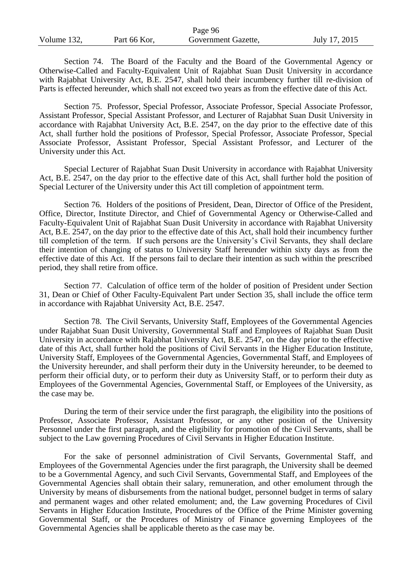|             |              | Page 96             |               |
|-------------|--------------|---------------------|---------------|
| Volume 132, | Part 66 Kor, | Government Gazette, | July 17, 2015 |

Section 74. The Board of the Faculty and the Board of the Governmental Agency or Otherwise-Called and Faculty-Equivalent Unit of Rajabhat Suan Dusit University in accordance with Rajabhat University Act, B.E. 2547, shall hold their incumbency further till re-division of Parts is effected hereunder, which shall not exceed two years as from the effective date of this Act.

Section 75. Professor, Special Professor, Associate Professor, Special Associate Professor, Assistant Professor, Special Assistant Professor, and Lecturer of Rajabhat Suan Dusit University in accordance with Rajabhat University Act, B.E. 2547, on the day prior to the effective date of this Act, shall further hold the positions of Professor, Special Professor, Associate Professor, Special Associate Professor, Assistant Professor, Special Assistant Professor, and Lecturer of the University under this Act.

Special Lecturer of Rajabhat Suan Dusit University in accordance with Rajabhat University Act, B.E. 2547, on the day prior to the effective date of this Act, shall further hold the position of Special Lecturer of the University under this Act till completion of appointment term.

Section 76. Holders of the positions of President, Dean, Director of Office of the President, Office, Director, Institute Director, and Chief of Governmental Agency or Otherwise-Called and Faculty-Equivalent Unit of Rajabhat Suan Dusit University in accordance with Rajabhat University Act, B.E. 2547, on the day prior to the effective date of this Act, shall hold their incumbency further till completion of the term. If such persons are the University's Civil Servants, they shall declare their intention of changing of status to University Staff hereunder within sixty days as from the effective date of this Act. If the persons fail to declare their intention as such within the prescribed period, they shall retire from office.

Section 77. Calculation of office term of the holder of position of President under Section 31, Dean or Chief of Other Faculty-Equivalent Part under Section 35, shall include the office term in accordance with Rajabhat University Act, B.E. 2547.

Section 78. The Civil Servants, University Staff, Employees of the Governmental Agencies under Rajabhat Suan Dusit University, Governmental Staff and Employees of Rajabhat Suan Dusit University in accordance with Rajabhat University Act, B.E. 2547, on the day prior to the effective date of this Act, shall further hold the positions of Civil Servants in the Higher Education Institute, University Staff, Employees of the Governmental Agencies, Governmental Staff, and Employees of the University hereunder, and shall perform their duty in the University hereunder, to be deemed to perform their official duty, or to perform their duty as University Staff, or to perform their duty as Employees of the Governmental Agencies, Governmental Staff, or Employees of the University, as the case may be.

During the term of their service under the first paragraph, the eligibility into the positions of Professor, Associate Professor, Assistant Professor, or any other position of the University Personnel under the first paragraph, and the eligibility for promotion of the Civil Servants, shall be subject to the Law governing Procedures of Civil Servants in Higher Education Institute.

For the sake of personnel administration of Civil Servants, Governmental Staff, and Employees of the Governmental Agencies under the first paragraph, the University shall be deemed to be a Governmental Agency, and such Civil Servants, Governmental Staff, and Employees of the Governmental Agencies shall obtain their salary, remuneration, and other emolument through the University by means of disbursements from the national budget, personnel budget in terms of salary and permanent wages and other related emolument; and, the Law governing Procedures of Civil Servants in Higher Education Institute, Procedures of the Office of the Prime Minister governing Governmental Staff, or the Procedures of Ministry of Finance governing Employees of the Governmental Agencies shall be applicable thereto as the case may be.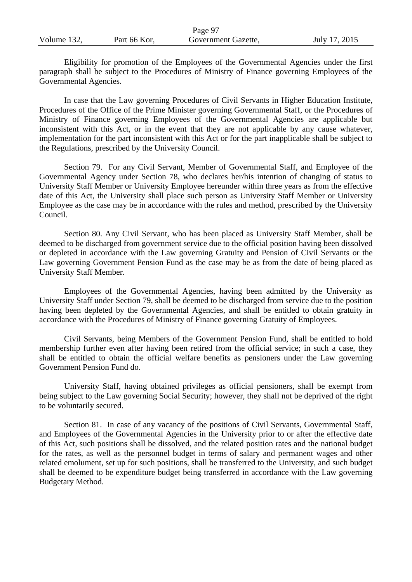|             |              | Page 97             |               |
|-------------|--------------|---------------------|---------------|
| Volume 132, | Part 66 Kor, | Government Gazette, | July 17, 2015 |

Eligibility for promotion of the Employees of the Governmental Agencies under the first paragraph shall be subject to the Procedures of Ministry of Finance governing Employees of the Governmental Agencies.

In case that the Law governing Procedures of Civil Servants in Higher Education Institute, Procedures of the Office of the Prime Minister governing Governmental Staff, or the Procedures of Ministry of Finance governing Employees of the Governmental Agencies are applicable but inconsistent with this Act, or in the event that they are not applicable by any cause whatever, implementation for the part inconsistent with this Act or for the part inapplicable shall be subject to the Regulations, prescribed by the University Council.

Section 79. For any Civil Servant, Member of Governmental Staff, and Employee of the Governmental Agency under Section 78, who declares her/his intention of changing of status to University Staff Member or University Employee hereunder within three years as from the effective date of this Act, the University shall place such person as University Staff Member or University Employee as the case may be in accordance with the rules and method, prescribed by the University Council.

Section 80. Any Civil Servant, who has been placed as University Staff Member, shall be deemed to be discharged from government service due to the official position having been dissolved or depleted in accordance with the Law governing Gratuity and Pension of Civil Servants or the Law governing Government Pension Fund as the case may be as from the date of being placed as University Staff Member.

Employees of the Governmental Agencies, having been admitted by the University as University Staff under Section 79, shall be deemed to be discharged from service due to the position having been depleted by the Governmental Agencies, and shall be entitled to obtain gratuity in accordance with the Procedures of Ministry of Finance governing Gratuity of Employees.

Civil Servants, being Members of the Government Pension Fund, shall be entitled to hold membership further even after having been retired from the official service; in such a case, they shall be entitled to obtain the official welfare benefits as pensioners under the Law governing Government Pension Fund do.

University Staff, having obtained privileges as official pensioners, shall be exempt from being subject to the Law governing Social Security; however, they shall not be deprived of the right to be voluntarily secured.

Section 81. In case of any vacancy of the positions of Civil Servants, Governmental Staff, and Employees of the Governmental Agencies in the University prior to or after the effective date of this Act, such positions shall be dissolved, and the related position rates and the national budget for the rates, as well as the personnel budget in terms of salary and permanent wages and other related emolument, set up for such positions, shall be transferred to the University, and such budget shall be deemed to be expenditure budget being transferred in accordance with the Law governing Budgetary Method.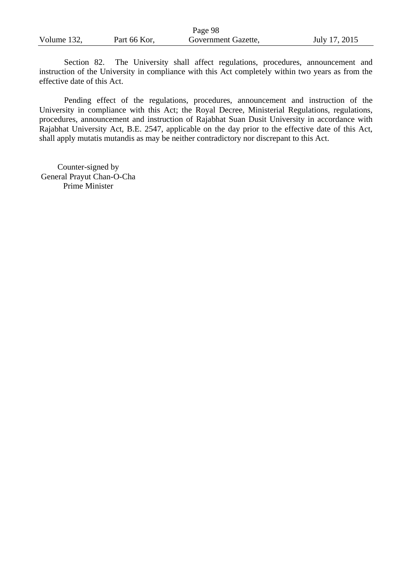|             |              | Page 98             |               |
|-------------|--------------|---------------------|---------------|
| Volume 132, | Part 66 Kor, | Government Gazette, | July 17, 2015 |

Section 82. The University shall affect regulations, procedures, announcement and instruction of the University in compliance with this Act completely within two years as from the effective date of this Act.

Pending effect of the regulations, procedures, announcement and instruction of the University in compliance with this Act; the Royal Decree, Ministerial Regulations, regulations, procedures, announcement and instruction of Rajabhat Suan Dusit University in accordance with Rajabhat University Act, B.E. 2547, applicable on the day prior to the effective date of this Act, shall apply mutatis mutandis as may be neither contradictory nor discrepant to this Act.

Counter-signed by General Prayut Chan-O-Cha Prime Minister